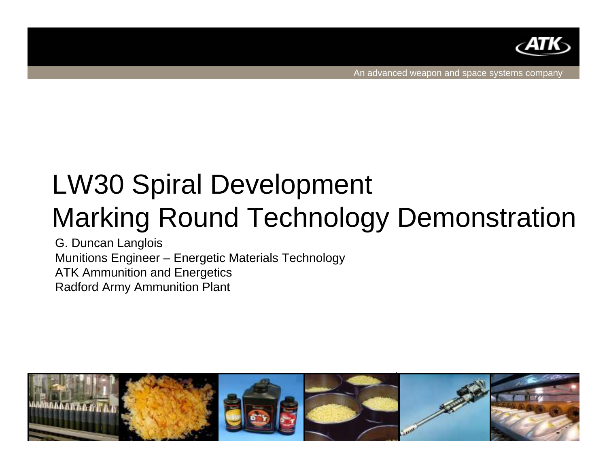

An advanced weapon and space systems company

# LW30 Spiral Development Marking Round Technology Demonstration

G. Duncan Langlois Munitions Engineer – Energetic Materials Technology ATK Ammunition and Energetics Radford Army Ammunition Plant

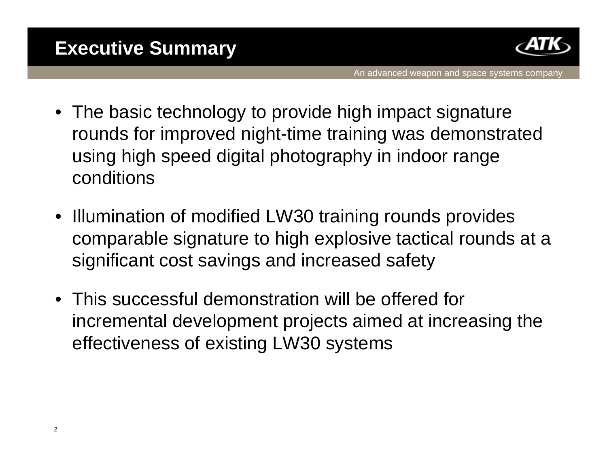

- The basic technology to provide high impact signature rounds for improved night-time training was demonstrated using high speed digital photography in indoor range conditions
- Illumination of modified LW30 training rounds provides comparable signature to high explosive tactical rounds at a significant cost savings and increased safety
- This successful demonstration will be offered for incremental development projects aimed at increasing the effectiveness of existing LW30 systems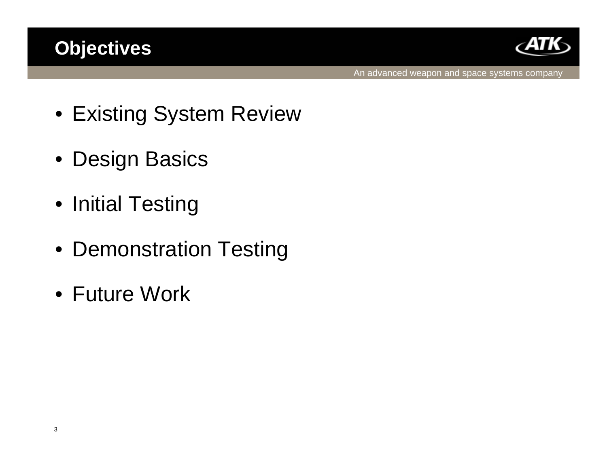## **Objectives**



- Existing System Review
- Design Basics
- Initial Testing
- Demonstration Testing
- Future Work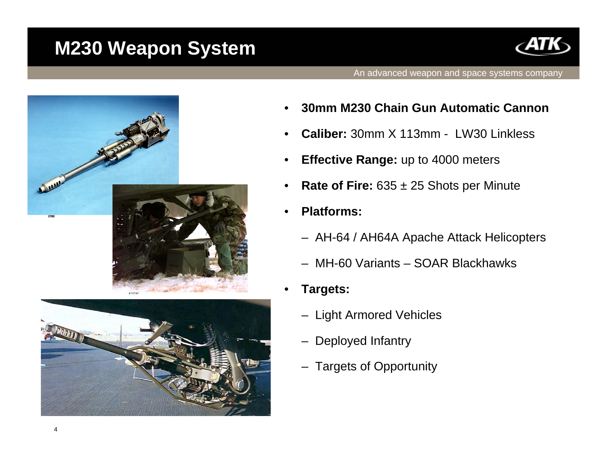### **M230 Weapon System**





- •**30mm M230 Chain Gun Automatic Cannon**
- •**Caliber:** 30mm X 113mm - LW30 Linkless
- •**Effective Range:** up to 4000 meters
- $\bullet$ **Rate of Fire:**  $635 \pm 25$  Shots per Minute
- • **Platforms:**
	- AH-64 / AH64A Apache Attack Helicopters
	- MH-60 Variants SOAR Blackhawks
- • **Targets:**
	- Light Armored Vehicles
	- Deployed Infantry
	- Targets of Opportunity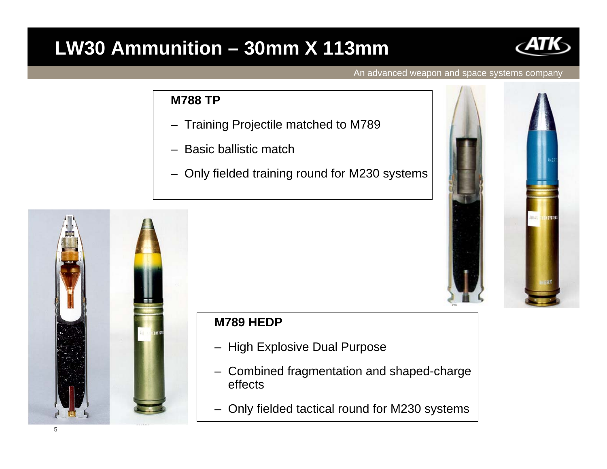### **LW30 Ammunition – 30mm X 113mm**



An advanced weapon and space systems company

### **M788 TP**

- –Training Projectile matched to M789
- –Basic ballistic match
- –Only fielded training round for M230 systems





### **M789 HEDP**

- High Explosive Dual Purpose
- Combined fragmentation and shaped-charge effects
- –Only fielded tactical round for M230 systems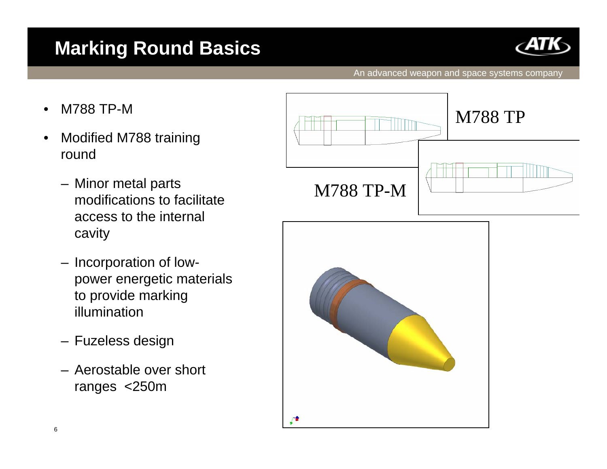# **Marking Round Basics**



- •M788 TP-M
- $\bullet$  Modified M788 training round
	- Minor metal parts modifications to facilitate access to the internal cavity
	- Incorporation of lowpower energetic materials to provide marking illumination
	- Fuzeless design
	- Aerostable over short ranges <250m



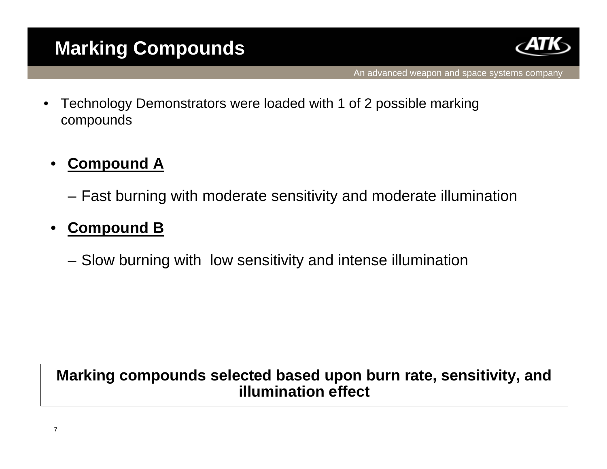

An advanced weapon and space systems company

 $\bullet$  Technology Demonstrators were loaded with 1 of 2 possible marking compounds

#### •**Compound A**

Fast burning with moderate sensitivity and moderate illumination

#### •**Compound B**

Slow burning with low sensitivity and intense illumination

### **Marking compounds selected based upon burn rate, sensitivity, and illumination effect**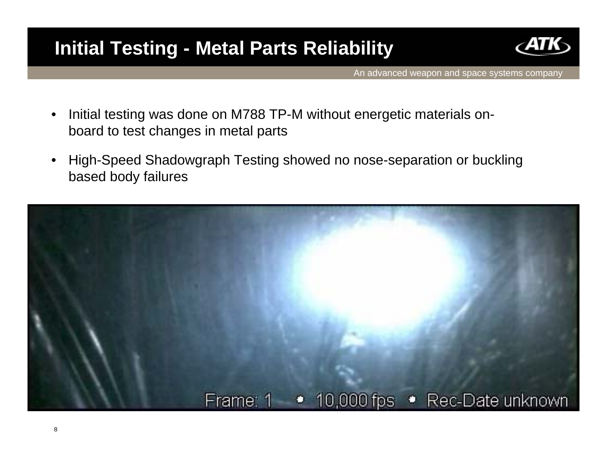# **Initial Testing - Metal Parts Reliability**



- • Initial testing was done on M788 TP-M without energetic materials onboard to test changes in metal parts
- $\bullet$  High-Speed Shadowgraph Testing showed no nose-separation or buckling based body failures

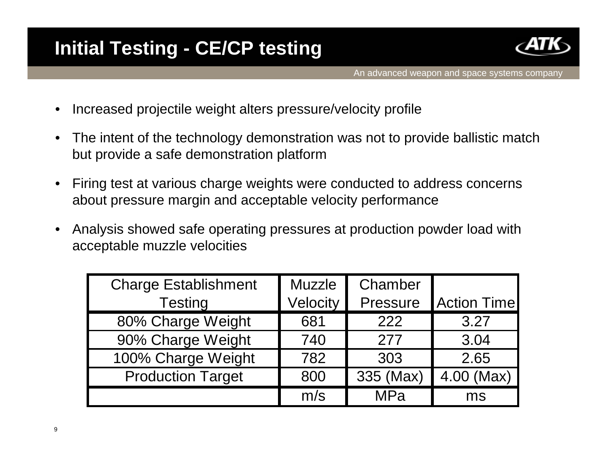

- $\bullet$ Increased projectile weight alters pressure/velocity profile
- $\bullet$  The intent of the technology demonstration was not to provide ballistic match but provide a safe demonstration platform
- $\bullet$  Firing test at various charge weights were conducted to address concerns about pressure margin and acceptable velocity performance
- $\bullet$  Analysis showed safe operating pressures at production powder load with acceptable muzzle velocities

| <b>Charge Establishment</b> | <b>Muzzle</b> | Chamber   |                    |
|-----------------------------|---------------|-----------|--------------------|
| <b>Testing</b>              | Velocity      | Pressure  | <b>Action Time</b> |
| 80% Charge Weight           | 681           | 222       | 3.27               |
| 90% Charge Weight           | 740           | 277       | 3.04               |
| 100% Charge Weight          | 782           | 303       | 2.65               |
| <b>Production Target</b>    | 800           | 335 (Max) | 4.00 (Max)         |
|                             | m/s           | MPa       | ms                 |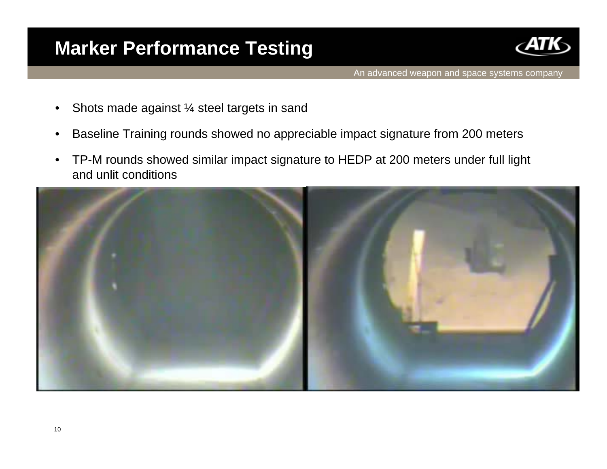### **Marker Performance Testing**



- $\bullet$ Shots made against ¼ steel targets in sand
- $\bullet$ Baseline Training rounds showed no appreciable impact signature from 200 meters
- $\bullet$  TP-M rounds showed similar impact signature to HEDP at 200 meters under full light and unlit conditions